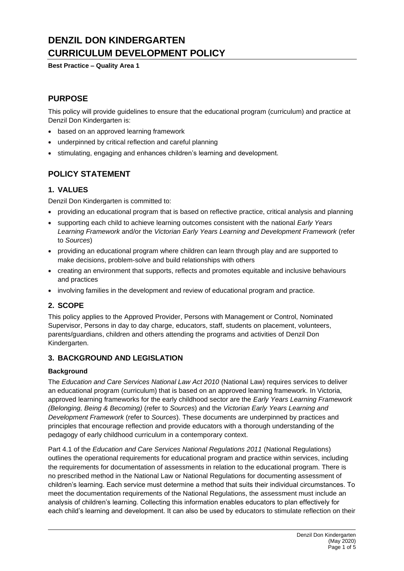# **DENZIL DON KINDERGARTEN CURRICULUM DEVELOPMENT POLICY**

**Best Practice – Quality Area 1**

# **PURPOSE**

This policy will provide guidelines to ensure that the educational program (curriculum) and practice at Denzil Don Kindergarten is:

- based on an approved learning framework
- underpinned by critical reflection and careful planning
- stimulating, engaging and enhances children's learning and development.

# **POLICY STATEMENT**

# **1. VALUES**

Denzil Don Kindergarten is committed to:

- providing an educational program that is based on reflective practice, critical analysis and planning
- supporting each child to achieve learning outcomes consistent with the national *Early Years Learning Framework* and/or the *Victorian Early Years Learning and Development Framework* (refer to *Sources*)
- providing an educational program where children can learn through play and are supported to make decisions, problem-solve and build relationships with others
- creating an environment that supports, reflects and promotes equitable and inclusive behaviours and practices
- involving families in the development and review of educational program and practice.

# **2. SCOPE**

This policy applies to the Approved Provider, Persons with Management or Control, Nominated Supervisor, Persons in day to day charge, educators, staff, students on placement, volunteers, parents/guardians, children and others attending the programs and activities of Denzil Don Kindergarten.

# **3. BACKGROUND AND LEGISLATION**

#### **Background**

The *Education and Care Services National Law Act 2010* (National Law) requires services to deliver an educational program (curriculum) that is based on an approved learning framework. In Victoria, approved learning frameworks for the early childhood sector are the *Early Years Learning Framework (Belonging, Being & Becoming)* (refer to *Sources*) and the *Victorian Early Years Learning and Development Framework* (refer to *Sources*). These documents are underpinned by practices and principles that encourage reflection and provide educators with a thorough understanding of the pedagogy of early childhood curriculum in a contemporary context.

Part 4.1 of the *Education and Care Services National Regulations 2011* (National Regulations) outlines the operational requirements for educational program and practice within services, including the requirements for documentation of assessments in relation to the educational program. There is no prescribed method in the National Law or National Regulations for documenting assessment of children's learning. Each service must determine a method that suits their individual circumstances. To meet the documentation requirements of the National Regulations, the assessment must include an analysis of children's learning. Collecting this information enables educators to plan effectively for each child's learning and development. It can also be used by educators to stimulate reflection on their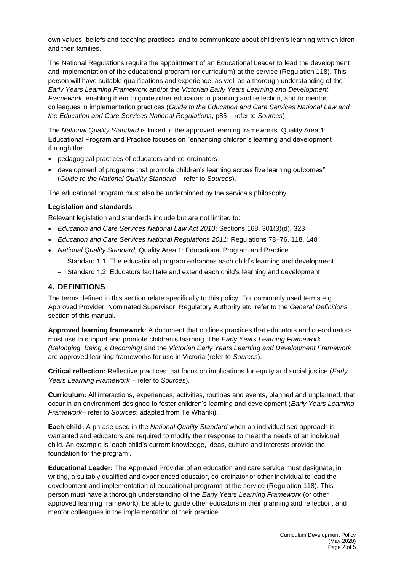own values, beliefs and teaching practices, and to communicate about children's learning with children and their families.

The National Regulations require the appointment of an Educational Leader to lead the development and implementation of the educational program (or curriculum) at the service (Regulation 118). This person will have suitable qualifications and experience, as well as a thorough understanding of the *Early Years Learning Framework* and/or the *Victorian Early Years Learning and Development Framework*, enabling them to guide other educators in planning and reflection, and to mentor colleagues in implementation practices (*Guide to the Education and Care Services National Law and the Education and Care Services National Regulations*, p85 – refer to *Sources*).

The *National Quality Standard* is linked to the approved learning frameworks. Quality Area 1: Educational Program and Practice focuses on "enhancing children's learning and development through the:

- pedagogical practices of educators and co-ordinators
- development of programs that promote children's learning across five learning outcomes" (*Guide to the National Quality Standard* – refer to *Sources*).

The educational program must also be underpinned by the service's philosophy.

#### **Legislation and standards**

Relevant legislation and standards include but are not limited to:

- *Education and Care Services National Law Act 2010*: Sections 168, 301(3)(d), 323
- *Education and Care Services National Regulations 2011*: Regulations 73–76, 118, 148
- *National Quality Standard,* Quality Area 1: Educational Program and Practice
	- − Standard 1.1: The educational program enhances each child's learning and development
	- − Standard 1.2: Educators facilitate and extend each child's learning and development

### **4. DEFINITIONS**

The terms defined in this section relate specifically to this policy. For commonly used terms e.g. Approved Provider, Nominated Supervisor, Regulatory Authority etc. refer to the *General Definitions* section of this manual.

**Approved learning framework:** A document that outlines practices that educators and co-ordinators must use to support and promote children's learning. The *Early Years Learning Framework (Belonging, Being & Becoming)* and the *Victorian Early Years Learning and Development Framework* are approved learning frameworks for use in Victoria (refer to *Sources*).

**Critical reflection:** Reflective practices that focus on implications for equity and social justice (*Early Years Learning Framework* – refer to *Sources*).

**Curriculum:** All interactions, experiences, activities, routines and events, planned and unplanned, that occur in an environment designed to foster children's learning and development (*Early Years Learning Framework*– refer to *Sources*; adapted from Te Whariki).

**Each child:** A phrase used in the *National Quality Standard* when an individualised approach is warranted and educators are required to modify their response to meet the needs of an individual child. An example is 'each child's current knowledge, ideas, culture and interests provide the foundation for the program'.

**Educational Leader:** The Approved Provider of an education and care service must designate, in writing, a suitably qualified and experienced educator, co-ordinator or other individual to lead the development and implementation of educational programs at the service (Regulation 118). This person must have a thorough understanding of the *Early Years Learning Framework* (or other approved learning framework), be able to guide other educators in their planning and reflection, and mentor colleagues in the implementation of their practice.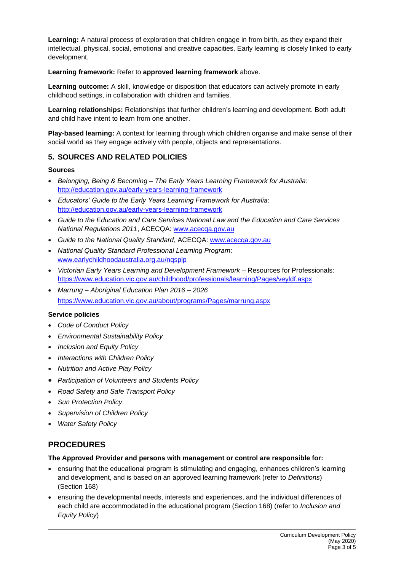**Learning:** A natural process of exploration that children engage in from birth, as they expand their intellectual, physical, social, emotional and creative capacities. Early learning is closely linked to early development.

#### **Learning framework:** Refer to **approved learning framework** above.

**Learning outcome:** A skill, knowledge or disposition that educators can actively promote in early childhood settings, in collaboration with children and families.

**Learning relationships:** Relationships that further children's learning and development. Both adult and child have intent to learn from one another.

**Play-based learning:** A context for learning through which children organise and make sense of their social world as they engage actively with people, objects and representations.

# **5. SOURCES AND RELATED POLICIES**

#### **Sources**

- *Belonging, Being & Becoming – The Early Years Learning Framework for Australia*: <http://education.gov.au/early-years-learning-framework>
- *Educators' Guide to the Early Years Learning Framework for Australia*: <http://education.gov.au/early-years-learning-framework>
- *Guide to the Education and Care Services National Law and the Education and Care Services National Regulations 2011*, ACECQA: [www.acecqa.gov.au](http://www.acecqa.gov.au/)
- *Guide to the National Quality Standard*, ACECQA: [www.acecqa.gov.au](http://www.acecqa.gov.au/)
- *National Quality Standard Professional Learning Program*: [www.earlychildhoodaustralia.org.au/nqsplp](http://www.earlychildhoodaustralia.org.au/nqsplp)
- *Victorian Early Years Learning and Development Framework* Resources for Professionals: <https://www.education.vic.gov.au/childhood/professionals/learning/Pages/veyldf.aspx>
- *Marrung – Aboriginal Education Plan 2016 – 2026* <https://www.education.vic.gov.au/about/programs/Pages/marrung.aspx>

#### **Service policies**

- *Code of Conduct Policy*
- *Environmental Sustainability Policy*
- *Inclusion and Equity Policy*
- *Interactions with Children Policy*
- *Nutrition and Active Play Policy*
- *Participation of Volunteers and Students Policy*
- *Road Safety and Safe Transport Policy*
- *Sun Protection Policy*
- *Supervision of Children Policy*
- *Water Safety Policy*

# **PROCEDURES**

#### **The Approved Provider and persons with management or control are responsible for:**

- ensuring that the educational program is stimulating and engaging, enhances children's learning and development, and is based on an approved learning framework (refer to *Definitions*) (Section 168)
- ensuring the developmental needs, interests and experiences, and the individual differences of each child are accommodated in the educational program (Section 168) (refer to *Inclusion and Equity Policy*)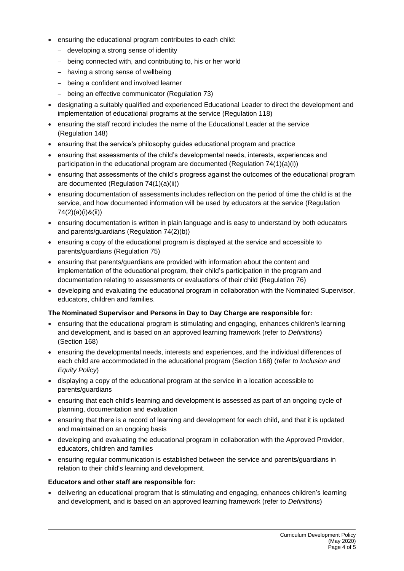- ensuring the educational program contributes to each child:
	- − developing a strong sense of identity
	- − being connected with, and contributing to, his or her world
	- − having a strong sense of wellbeing
	- − being a confident and involved learner
	- − being an effective communicator (Regulation 73)
- designating a suitably qualified and experienced Educational Leader to direct the development and implementation of educational programs at the service (Regulation 118)
- ensuring the staff record includes the name of the Educational Leader at the service (Regulation 148)
- ensuring that the service's philosophy guides educational program and practice
- ensuring that assessments of the child's developmental needs, interests, experiences and participation in the educational program are documented (Regulation  $74(1)(a)(i)$ )
- ensuring that assessments of the child's progress against the outcomes of the educational program are documented (Regulation 74(1)(a)(ii))
- ensuring documentation of assessments includes reflection on the period of time the child is at the service, and how documented information will be used by educators at the service (Regulation 74(2)(a)(i)&(ii))
- ensuring documentation is written in plain language and is easy to understand by both educators and parents/guardians (Regulation 74(2)(b))
- ensuring a copy of the educational program is displayed at the service and accessible to parents/guardians (Regulation 75)
- ensuring that parents/guardians are provided with information about the content and implementation of the educational program, their child's participation in the program and documentation relating to assessments or evaluations of their child (Regulation 76)
- developing and evaluating the educational program in collaboration with the Nominated Supervisor, educators, children and families.

#### **The Nominated Supervisor and Persons in Day to Day Charge are responsible for:**

- ensuring that the educational program is stimulating and engaging, enhances children's learning and development, and is based on an approved learning framework (refer to *Definitions*) (Section 168)
- ensuring the developmental needs, interests and experiences, and the individual differences of each child are accommodated in the educational program (Section 168) (refer *to Inclusion and Equity Policy*)
- displaying a copy of the educational program at the service in a location accessible to parents/guardians
- ensuring that each child's learning and development is assessed as part of an ongoing cycle of planning, documentation and evaluation
- ensuring that there is a record of learning and development for each child, and that it is updated and maintained on an ongoing basis
- developing and evaluating the educational program in collaboration with the Approved Provider, educators, children and families
- ensuring regular communication is established between the service and parents/guardians in relation to their child's learning and development.

#### **Educators and other staff are responsible for:**

• delivering an educational program that is stimulating and engaging, enhances children's learning and development, and is based on an approved learning framework (refer to *Definitions*)